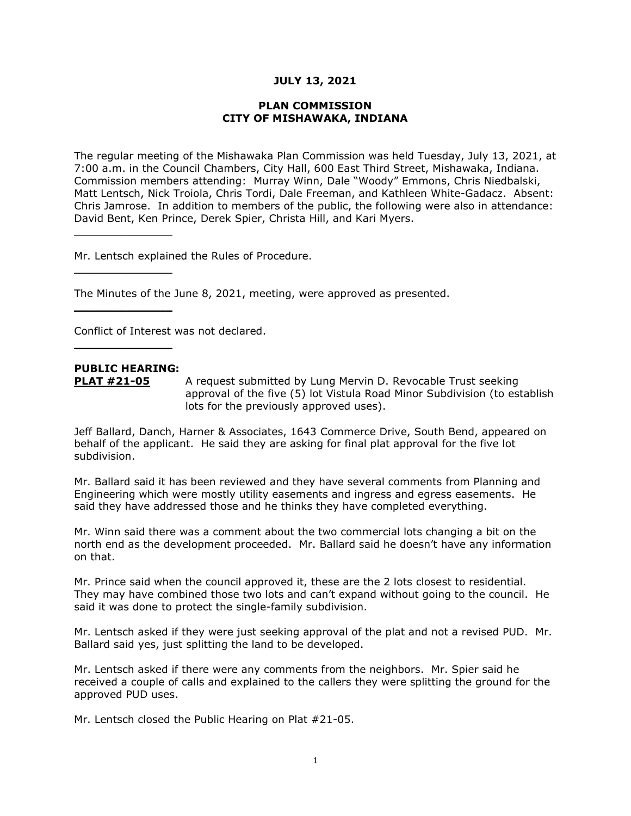## **JULY 13, 2021**

### **PLAN COMMISSION CITY OF MISHAWAKA, INDIANA**

The regular meeting of the Mishawaka Plan Commission was held Tuesday, July 13, 2021, at 7:00 a.m. in the Council Chambers, City Hall, 600 East Third Street, Mishawaka, Indiana. Commission members attending: Murray Winn, Dale "Woody" Emmons, Chris Niedbalski, Matt Lentsch, Nick Troiola, Chris Tordi, Dale Freeman, and Kathleen White-Gadacz. Absent: Chris Jamrose. In addition to members of the public, the following were also in attendance: David Bent, Ken Prince, Derek Spier, Christa Hill, and Kari Myers.

Mr. Lentsch explained the Rules of Procedure.

The Minutes of the June 8, 2021, meeting, were approved as presented.

Conflict of Interest was not declared.

## **PUBLIC HEARING:**

 $\overline{\phantom{a}}$  , where  $\overline{\phantom{a}}$  , where  $\overline{\phantom{a}}$ 

 $\overline{\phantom{a}}$  , where  $\overline{\phantom{a}}$  , where  $\overline{\phantom{a}}$ 

 $\overline{\phantom{a}}$  , where  $\overline{\phantom{a}}$ 

 $\overline{\phantom{a}}$  , where  $\overline{\phantom{a}}$  , where  $\overline{\phantom{a}}$ 

**PLAT #21-05** A request submitted by Lung Mervin D. Revocable Trust seeking approval of the five (5) lot Vistula Road Minor Subdivision (to establish lots for the previously approved uses).

Jeff Ballard, Danch, Harner & Associates, 1643 Commerce Drive, South Bend, appeared on behalf of the applicant. He said they are asking for final plat approval for the five lot subdivision.

Mr. Ballard said it has been reviewed and they have several comments from Planning and Engineering which were mostly utility easements and ingress and egress easements. He said they have addressed those and he thinks they have completed everything.

Mr. Winn said there was a comment about the two commercial lots changing a bit on the north end as the development proceeded. Mr. Ballard said he doesn't have any information on that.

Mr. Prince said when the council approved it, these are the 2 lots closest to residential. They may have combined those two lots and can't expand without going to the council. He said it was done to protect the single-family subdivision.

Mr. Lentsch asked if they were just seeking approval of the plat and not a revised PUD. Mr. Ballard said yes, just splitting the land to be developed.

Mr. Lentsch asked if there were any comments from the neighbors. Mr. Spier said he received a couple of calls and explained to the callers they were splitting the ground for the approved PUD uses.

Mr. Lentsch closed the Public Hearing on Plat #21-05.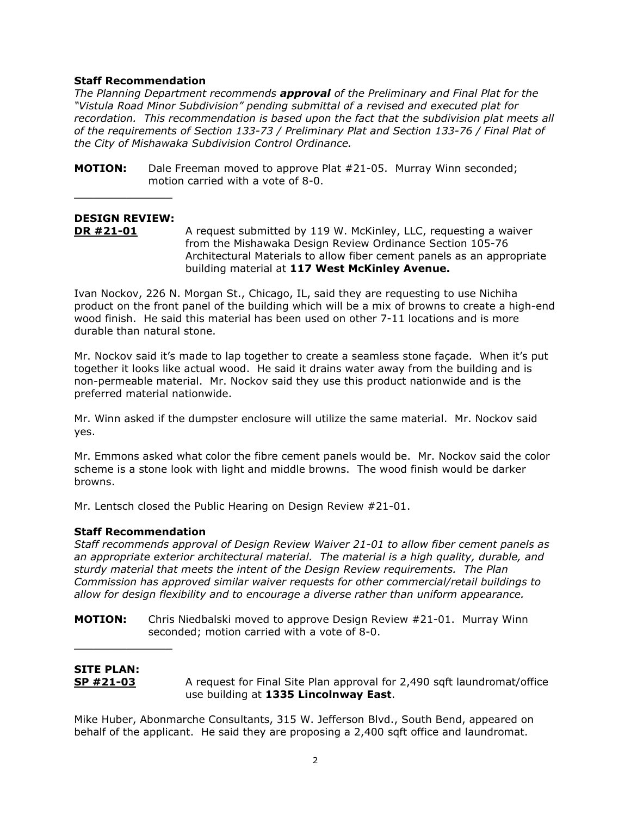### **Staff Recommendation**

*The Planning Department recommends approval of the Preliminary and Final Plat for the "Vistula Road Minor Subdivision" pending submittal of a revised and executed plat for recordation. This recommendation is based upon the fact that the subdivision plat meets all of the requirements of Section 133-73 / Preliminary Plat and Section 133-76 / Final Plat of the City of Mishawaka Subdivision Control Ordinance.*

**MOTION:** Dale Freeman moved to approve Plat #21-05. Murray Winn seconded; motion carried with a vote of 8-0.

# **DESIGN REVIEW:**

 $\overline{\phantom{a}}$  , where  $\overline{\phantom{a}}$ 

**DR #21-01** A request submitted by 119 W. McKinley, LLC, requesting a waiver from the Mishawaka Design Review Ordinance Section 105-76 Architectural Materials to allow fiber cement panels as an appropriate building material at **117 West McKinley Avenue.**

Ivan Nockov, 226 N. Morgan St., Chicago, IL, said they are requesting to use Nichiha product on the front panel of the building which will be a mix of browns to create a high-end wood finish. He said this material has been used on other 7-11 locations and is more durable than natural stone.

Mr. Nockov said it's made to lap together to create a seamless stone façade. When it's put together it looks like actual wood. He said it drains water away from the building and is non-permeable material. Mr. Nockov said they use this product nationwide and is the preferred material nationwide.

Mr. Winn asked if the dumpster enclosure will utilize the same material. Mr. Nockov said yes.

Mr. Emmons asked what color the fibre cement panels would be. Mr. Nockov said the color scheme is a stone look with light and middle browns. The wood finish would be darker browns.

Mr. Lentsch closed the Public Hearing on Design Review #21-01.

## **Staff Recommendation**

 $\overline{\phantom{a}}$  , where  $\overline{\phantom{a}}$ 

*Staff recommends approval of Design Review Waiver 21-01 to allow fiber cement panels as an appropriate exterior architectural material. The material is a high quality, durable, and sturdy material that meets the intent of the Design Review requirements. The Plan Commission has approved similar waiver requests for other commercial/retail buildings to allow for design flexibility and to encourage a diverse rather than uniform appearance.* 

**MOTION:** Chris Niedbalski moved to approve Design Review #21-01. Murray Winn seconded; motion carried with a vote of 8-0.

#### **SITE PLAN: SP #21-03** A request for Final Site Plan approval for 2,490 sqft laundromat/office use building at **1335 Lincolnway East**.

Mike Huber, Abonmarche Consultants, 315 W. Jefferson Blvd., South Bend, appeared on behalf of the applicant. He said they are proposing a 2,400 sqft office and laundromat.